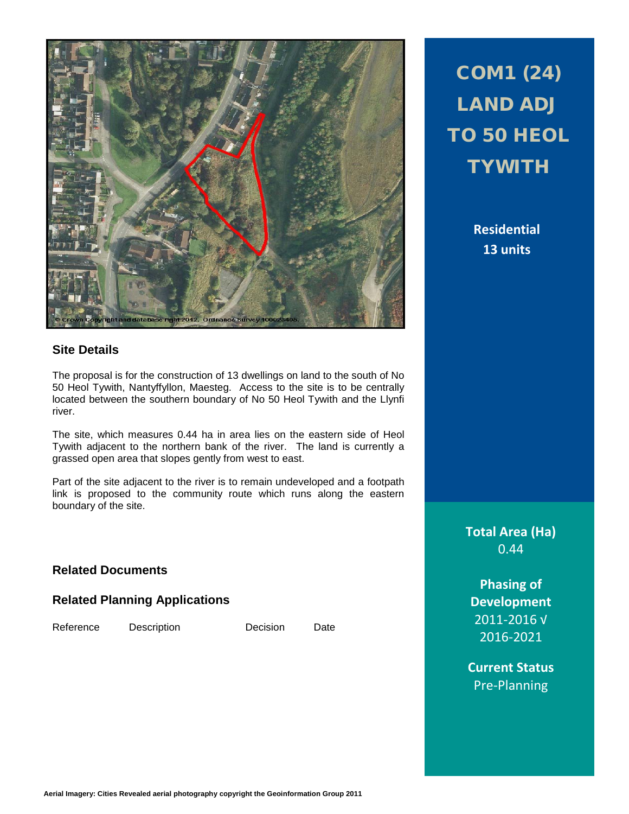

# **Site Details**

The proposal is for the construction of 13 dwellings on land to the south of No 50 Heol Tywith, Nantyffyllon, Maesteg. Access to the site is to be centrally located between the southern boundary of No 50 Heol Tywith and the Llynfi river.

The site, which measures 0.44 ha in area lies on the eastern side of Heol Tywith adjacent to the northern bank of the river. The land is currently a grassed open area that slopes gently from west to east.

Part of the site adjacent to the river is to remain undeveloped and a footpath link is proposed to the community route which runs along the eastern boundary of the site.

## **Related Documents**

### **Related Planning Applications**

Reference Description Decision Date

# COM1 (24) LAND ADJ TO 50 HEOL **TYWITH**

**Residential 13 units**

**Total Area (Ha)** 0.44

**Phasing of Development** 2011-2016 √ 2016-2021

**Current Status** Pre-Planning